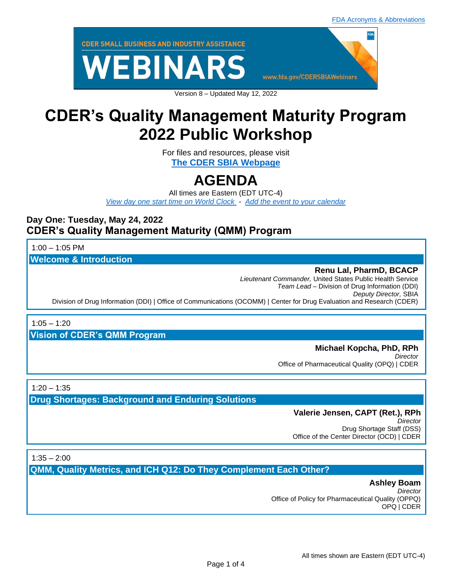**CDER SMALL BUSINESS AND INDUSTRY ASSISTANCE** 

WEBINARS



Version 8 – Updated May 12, 2022

# **CDER's Quality Management Maturity Program 2022 Public Workshop**

For files and resources, please visit **[The CDER SBIA](https://www.fda.gov/drugs/development-approval-process-drugs/cder-small-business-industry-assistance-sbia) Webpage**

# **AGENDA**

All times are Eastern (EDT UTC-4) *[View day one start time on World Clock](https://www.timeanddate.com/worldclock/fixedtime.html?msg=SBIA+Event+Start+Time&iso=20220524T1300&p1=263) - [Add the event to your calendar](https://sbiaevents.com/ics/webinar20220424.ics)*

**Day One: Tuesday, May 24, 2022 CDER's Quality Management Maturity (QMM) Program**

 $1:00 - 1:05$  PM

**Welcome & Introduction**

#### **Renu Lal, PharmD, BCACP**

*Lieutenant Commander,* United States Public Health Service *Team Lead –* Division of Drug Information (DDI) *Deputy Director,* SBIA Division of Drug Information (DDI) | Office of Communications (OCOMM) | Center for Drug Evaluation and Research (CDER)

 $1:05 - 1:20$ 

**Vision of CDER's QMM Program**

#### **Michael Kopcha, PhD, RPh** *Director*  Office of Pharmaceutical Quality (OPQ) | CDER

 $1:20 - 1:35$ 

**Drug Shortages: Background and Enduring Solutions**

#### **Valerie Jensen, CAPT (Ret.), RPh** *Director* Drug Shortage Staff (DSS)

Office of the Center Director (OCD) | CDER

 $1:35 - 2:00$ 

**QMM, Quality Metrics, and ICH Q12: Do They Complement Each Other?**

#### **Ashley Boam**

*Director* Office of Policy for Pharmaceutical Quality (OPPQ) OPQ | CDER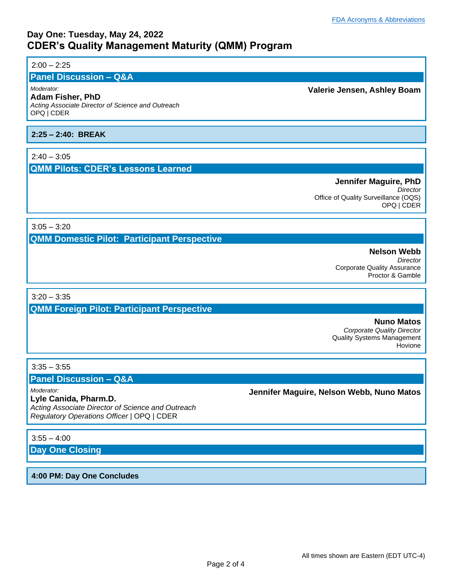# **Day One: Tuesday, May 24, 2022 CDER's Quality Management Maturity (QMM) Program**

#### $2:00 - 2:25$

#### **Panel Discussion – Q&A**

#### *Moderator:*

**Adam Fisher, PhD**

*Acting Associate Director of Science and Outreach* OPQ | CDER

#### **2:25 – 2:40: BREAK**

 $2.40 - 3.05$ 

**QMM Pilots: CDER's Lessons Learned**

**Jennifer Maguire, PhD** *Director* Office of Quality Surveillance (OQS) OPQ | CDER

**Valerie Jensen, Ashley Boam**

3:05 – 3:20

**QMM Domestic Pilot: Participant Perspective**

### **Nelson Webb**

*Director* Corporate Quality Assurance Proctor & Gamble

 $3:20 - 3:35$ 

**QMM Foreign Pilot: Participant Perspective**

**Nuno Matos** *Corporate Quality Director* Quality Systems Management Hovione

**Jennifer Maguire, Nelson Webb, Nuno Matos**

 $3:35 - 3:55$ 

**Panel Discussion – Q&A**

*Moderator:*

**Lyle Canida, Pharm.D.** *Acting Associate Director of Science and Outreach*

*Regulatory Operations Officer* | OPQ | CDER

 $3:55 - 4:00$ 

**Day One Closing**

**4:00 PM: Day One Concludes**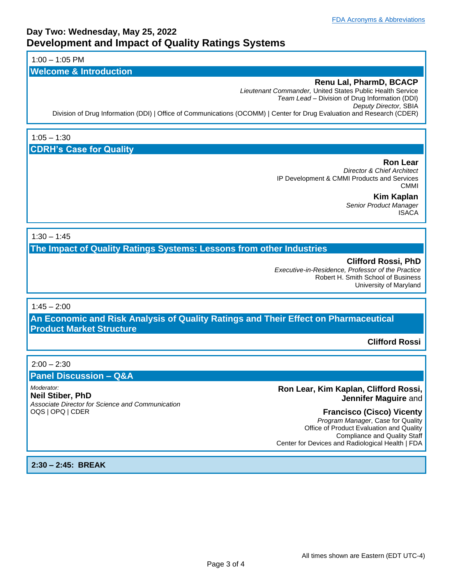### **Day Two: Wednesday, May 25, 2022 Development and Impact of Quality Ratings Systems**

1:00 – 1:05 PM

**Welcome & Introduction**

#### **Renu Lal, PharmD, BCACP**

*Lieutenant Commander,* United States Public Health Service *Team Lead –* Division of Drug Information (DDI) *Deputy Director,* SBIA Division of Drug Information (DDI) | Office of Communications (OCOMM) | Center for Drug Evaluation and Research (CDER)

# $1:05 - 1:30$

**CDRH's Case for Quality**

**Ron Lear** *Director & Chief Architect*  IP Development & CMMI Products and Services CMMI

**Kim Kaplan** *Senior Product Manager* ISACA

 $1:30 - 1:45$ 

**The Impact of Quality Ratings Systems: Lessons from other Industries**

**Clifford Rossi, PhD** *Executive-in-Residence, Professor of the Practice* Robert H. Smith School of Business University of Maryland

 $1:45 - 2:00$ 

**An Economic and Risk Analysis of Quality Ratings and Their Effect on Pharmaceutical Product Market Structure**

**Clifford Rossi**

 $2:00 - 2:30$ 

**Panel Discussion – Q&A**

#### *Moderator:* **Neil Stiber, PhD**

*Associate Director for Science and Communication* OQS | OPQ | CDER

#### **Ron Lear, Kim Kaplan, Clifford Rossi, Jennifer Maguire** and

**Francisco (Cisco) Vicenty**

*Program Manager*, Case for Quality Office of Product Evaluation and Quality Compliance and Quality Staff Center for Devices and Radiological Health | FDA

**2:30 – 2:45: BREAK**